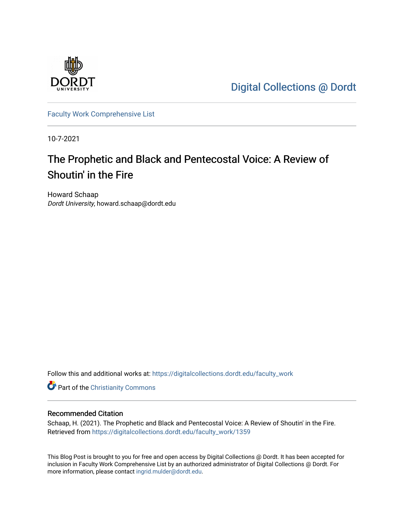

[Digital Collections @ Dordt](https://digitalcollections.dordt.edu/) 

[Faculty Work Comprehensive List](https://digitalcollections.dordt.edu/faculty_work)

10-7-2021

# The Prophetic and Black and Pentecostal Voice: A Review of Shoutin' in the Fire

Howard Schaap Dordt University, howard.schaap@dordt.edu

Follow this and additional works at: [https://digitalcollections.dordt.edu/faculty\\_work](https://digitalcollections.dordt.edu/faculty_work?utm_source=digitalcollections.dordt.edu%2Ffaculty_work%2F1359&utm_medium=PDF&utm_campaign=PDFCoverPages) 

Part of the [Christianity Commons](http://network.bepress.com/hgg/discipline/1181?utm_source=digitalcollections.dordt.edu%2Ffaculty_work%2F1359&utm_medium=PDF&utm_campaign=PDFCoverPages) 

#### Recommended Citation

Schaap, H. (2021). The Prophetic and Black and Pentecostal Voice: A Review of Shoutin' in the Fire. Retrieved from [https://digitalcollections.dordt.edu/faculty\\_work/1359](https://digitalcollections.dordt.edu/faculty_work/1359?utm_source=digitalcollections.dordt.edu%2Ffaculty_work%2F1359&utm_medium=PDF&utm_campaign=PDFCoverPages) 

This Blog Post is brought to you for free and open access by Digital Collections @ Dordt. It has been accepted for inclusion in Faculty Work Comprehensive List by an authorized administrator of Digital Collections @ Dordt. For more information, please contact [ingrid.mulder@dordt.edu.](mailto:ingrid.mulder@dordt.edu)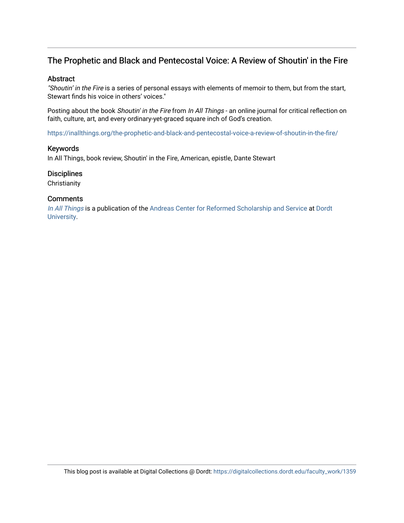### The Prophetic and Black and Pentecostal Voice: A Review of Shoutin' in the Fire

#### Abstract

"Shoutin' in the Fire is a series of personal essays with elements of memoir to them, but from the start, Stewart finds his voice in others' voices."

Posting about the book Shoutin' in the Fire from In All Things - an online journal for critical reflection on faith, culture, art, and every ordinary-yet-graced square inch of God's creation.

<https://inallthings.org/the-prophetic-and-black-and-pentecostal-voice-a-review-of-shoutin-in-the-fire/>

#### Keywords

In All Things, book review, Shoutin' in the Fire, American, epistle, Dante Stewart

#### **Disciplines**

**Christianity** 

#### **Comments**

[In All Things](http://inallthings.org/) is a publication of the [Andreas Center for Reformed Scholarship and Service](http://www.dordt.edu/services_support/andreas_center/) at Dordt [University](http://www.dordt.edu/).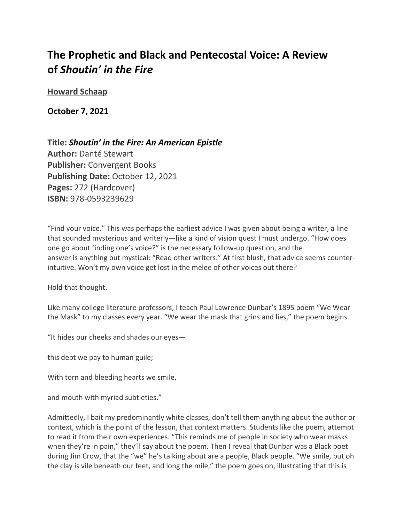## **The Prophetic and Black and Pentecostal Voice: A Review of** *Shoutin' in the Fire*

**[Howard Schaap](https://inallthings.org/author/howard-schaap/)**

**October 7, 2021**

**Title:** *Shoutin' in the Fire: An American Epistle* **Author:** Danté Stewart **Publisher:** Convergent Books **Publishing Date:** October 12, 2021 **Pages:** 272 (Hardcover) **ISBN:** 978-0593239629

"Find your voice." This was perhaps the earliest advice I was given about being a writer, a line that sounded mysterious and writerly—like a kind of vision quest I must undergo. "How does one go about finding one's voice?" is the necessary follow-up question, and the answer is anything but mystical: "Read other writers." At first blush, that advice seems counterintuitive. Won't my own voice get lost in the melee of other voices out there?

Hold that thought.

Like many college literature professors, I teach Paul Lawrence Dunbar's 1895 poem "We Wear the Mask" to my classes every year. "We wear the mask that grins and lies," the poem begins.

"It hides our cheeks and shades our eyes—

this debt we pay to human guile;

With torn and bleeding hearts we smile,

and mouth with myriad subtleties."

Admittedly, I bait my predominantly white classes, don't tell them anything about the author or context, which is the point of the lesson, that context matters. Students like the poem, attempt to read it from their own experiences. "This reminds me of people in society who wear masks when they're in pain," they'll say about the poem. Then I reveal that Dunbar was a Black poet during Jim Crow, that the "we" he's talking about are a people, Black people. "We smile, but oh the clay is vile beneath our feet, and long the mile," the poem goes on, illustrating that this is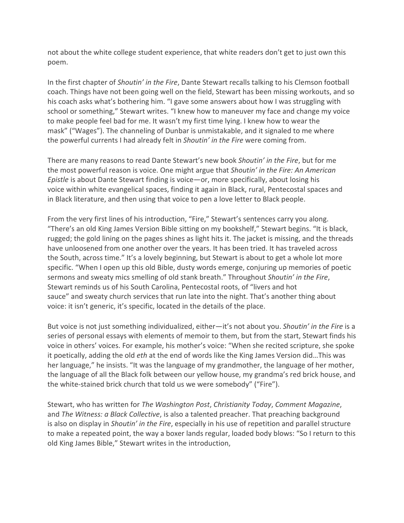not about the white college student experience, that white readers don't get to just own this poem.

In the first chapter of *Shoutin' in the Fire*, Dante Stewart recalls talking to his Clemson football coach. Things have not been going well on the field, Stewart has been missing workouts, and so his coach asks what's bothering him. "I gave some answers about how I was struggling with school or something," Stewart writes. "I knew how to maneuver my face and change my voice to make people feel bad for me. It wasn't my first time lying. I knew how to wear the mask" ("Wages"). The channeling of Dunbar is unmistakable, and it signaled to me where the powerful currents I had already felt in *Shoutin' in the Fire* were coming from.

There are many reasons to read Dante Stewart's new book *Shoutin' in the Fire*, but for me the most powerful reason is voice. One might argue that *Shoutin' in the Fire: An American Epistle* is about Dante Stewart finding is voice—or, more specifically, about losing his voice within white evangelical spaces, finding it again in Black, rural, Pentecostal spaces and in Black literature, and then using that voice to pen a love letter to Black people.

From the very first lines of his introduction, "Fire," Stewart's sentences carry you along. "There's an old King James Version Bible sitting on my bookshelf," Stewart begins. "It is black, rugged; the gold lining on the pages shines as light hits it. The jacket is missing, and the threads have unloosened from one another over the years. It has been tried. It has traveled across the South, across time." It's a lovely beginning, but Stewart is about to get a whole lot more specific. "When I open up this old Bible, dusty words emerge, conjuring up memories of poetic sermons and sweaty mics smelling of old stank breath." Throughout *Shoutin' in the Fire*, Stewart reminds us of his South Carolina, Pentecostal roots, of "livers and hot sauce" and sweaty church services that run late into the night. That's another thing about voice: it isn't generic, it's specific, located in the details of the place.

But voice is not just something individualized, either—it's not about you. *Shoutin' in the Fire* is a series of personal essays with elements of memoir to them, but from the start, Stewart finds his voice in others' voices. For example, his mother's voice: "When she recited scripture, she spoke it poetically, adding the old *eth* at the end of words like the King James Version did…This was her language," he insists. "It was the language of my grandmother, the language of her mother, the language of all the Black folk between our yellow house, my grandma's red brick house, and the white-stained brick church that told us we were somebody" ("Fire").

Stewart, who has written for *The Washington Post*, *Christianity Today*, *Comment Magazine*, and *The Witness: a Black Collective*, is also a talented preacher. That preaching background is also on display in *Shoutin' in the Fire*, especially in his use of repetition and parallel structure to make a repeated point, the way a boxer lands regular, loaded body blows: "So I return to this old King James Bible," Stewart writes in the introduction,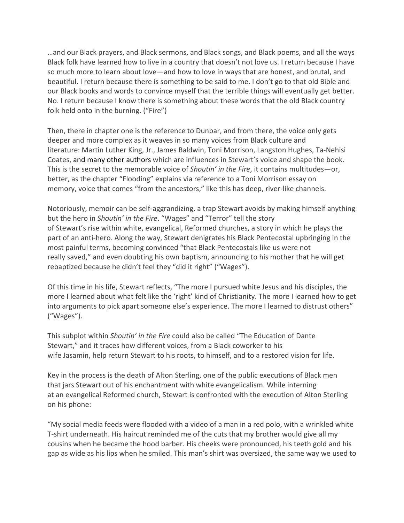…and our Black prayers, and Black sermons, and Black songs, and Black poems, and all the ways Black folk have learned how to live in a country that doesn't not love us. I return because I have so much more to learn about love—and how to love in ways that are honest, and brutal, and beautiful. I return because there is something to be said to me. I don't go to that old Bible and our Black books and words to convince myself that the terrible things will eventually get better. No. I return because I know there is something about these words that the old Black country folk held onto in the burning. ("Fire")

Then, there in chapter one is the reference to Dunbar, and from there, the voice only gets deeper and more complex as it weaves in so many voices from Black culture and literature: Martin Luther King, Jr., James Baldwin, Toni Morrison, Langston Hughes, Ta-Nehisi Coates, [and many other](https://podcasts.apple.com/us/podcast/shoutin-feature-conversation-dant%C3%A9-stewart/id1556164581?i=1000537598560) authors which are influences in Stewart's voice and shape the book. This is the secret to the memorable voice of *Shoutin' in the Fire*, it contains multitudes—or, better, as the chapter "Flooding" explains via reference to a Toni Morrison essay on memory, voice that comes "from the ancestors," like this has deep, river-like channels.

Notoriously, memoir can be self-aggrandizing, a trap Stewart avoids by making himself anything but the hero in *Shoutin' in the Fire*. "Wages" and "Terror" tell the story of Stewart's rise within white, evangelical, Reformed churches, a story in which he plays the part of an anti-hero. Along the way, Stewart denigrates his Black Pentecostal upbringing in the most painful terms, becoming convinced "that Black Pentecostals like us were not really saved," and even doubting his own baptism, announcing to his mother that he will get rebaptized because he didn't feel they "did it right" ("Wages").

Of this time in his life, Stewart reflects, "The more I pursued white Jesus and his disciples, the more I learned about what felt like the 'right' kind of Christianity. The more I learned how to get into arguments to pick apart someone else's experience. The more I learned to distrust others" ("Wages").

This subplot within *Shoutin' in the Fire* could also be called "The Education of Dante Stewart," and it traces how different voices, from a Black coworker to his wife Jasamin, help return Stewart to his roots, to himself, and to a restored vision for life.

Key in the process is the death of Alton Sterling, one of the public executions of Black men that jars Stewart out of his enchantment with white evangelicalism. While interning at an evangelical Reformed church, Stewart is confronted with the execution of Alton Sterling on his phone:

"My social media feeds were flooded with a video of a man in a red polo, with a wrinkled white T-shirt underneath. His haircut reminded me of the cuts that my brother would give all my cousins when he became the hood barber. His cheeks were pronounced, his teeth gold and his gap as wide as his lips when he smiled. This man's shirt was oversized, the same way we used to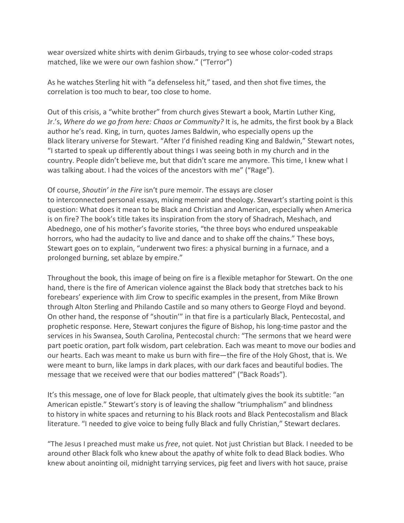wear oversized white shirts with denim Girbauds, trying to see whose color-coded straps matched, like we were our own fashion show." ("Terror")

As he watches Sterling hit with "a defenseless hit," tased, and then shot five times, the correlation is too much to bear, too close to home.

Out of this crisis, a "white brother" from church gives Stewart a book, Martin Luther King, Jr.'s, *Where do we go from here: Chaos or Community?* It is, he admits, the first book by a Black author he's read. King, in turn, quotes James Baldwin, who especially opens up the Black literary universe for Stewart. "After I'd finished reading King and Baldwin," Stewart notes, "I started to speak up differently about things I was seeing both in my church and in the country. People didn't believe me, but that didn't scare me anymore. This time, I knew what I was talking about. I had the voices of the ancestors with me" ("Rage").

Of course, *Shoutin' in the Fire* isn't pure memoir. The essays are closer to interconnected personal essays, mixing memoir and theology. Stewart's starting point is this question: What does it mean to be Black and Christian and American, especially when America is on fire? The book's title takes its inspiration from the story of Shadrach, Meshach, and Abednego, one of his mother's favorite stories, "the three boys who endured unspeakable horrors, who had the audacity to live and dance and to shake off the chains." These boys, Stewart goes on to explain, "underwent two fires: a physical burning in a furnace, and a prolonged burning, set ablaze by empire."

Throughout the book, this image of being on fire is a flexible metaphor for Stewart. On the one hand, there is the fire of American violence against the Black body that stretches back to his forebears' experience with Jim Crow to specific examples in the present, from Mike Brown through Alton Sterling and Philando Castile and so many others to George Floyd and beyond. On other hand, the response of "shoutin'" in that fire is a particularly Black, Pentecostal, and prophetic response. Here, Stewart conjures the figure of Bishop, his long-time pastor and the services in his Swansea, South Carolina, Pentecostal church: "The sermons that we heard were part poetic oration, part folk wisdom, part celebration. Each was meant to move our bodies and our hearts. Each was meant to make us burn with fire—the fire of the Holy Ghost, that is. We were meant to burn, like lamps in dark places, with our dark faces and beautiful bodies. The message that we received were that our bodies mattered" ("Back Roads").

It's this message, one of love for Black people, that ultimately gives the book its subtitle: "an American epistle." Stewart's story is of leaving the shallow "triumphalism" and blindness to history in white spaces and returning to his Black roots and Black Pentecostalism and Black literature. "I needed to give voice to being fully Black and fully Christian," Stewart declares.

"The Jesus I preached must make us *free*, not quiet. Not just Christian but Black. I needed to be around other Black folk who knew about the apathy of white folk to dead Black bodies. Who knew about anointing oil, midnight tarrying services, pig feet and livers with hot sauce, praise